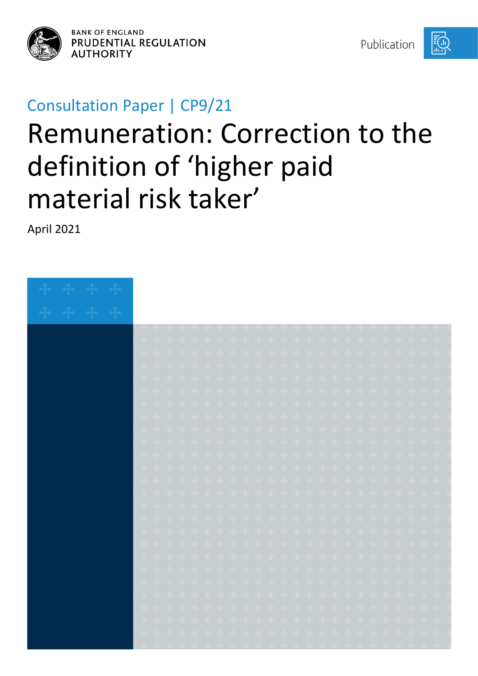

**BANK OF ENGLAND** PRUDENTIAL REGULATION **AUTHORITY** 

Publication



## Consultation Paper | CP9/21

# Remuneration: Correction to the definition of 'higher paid material risk taker'

April 2021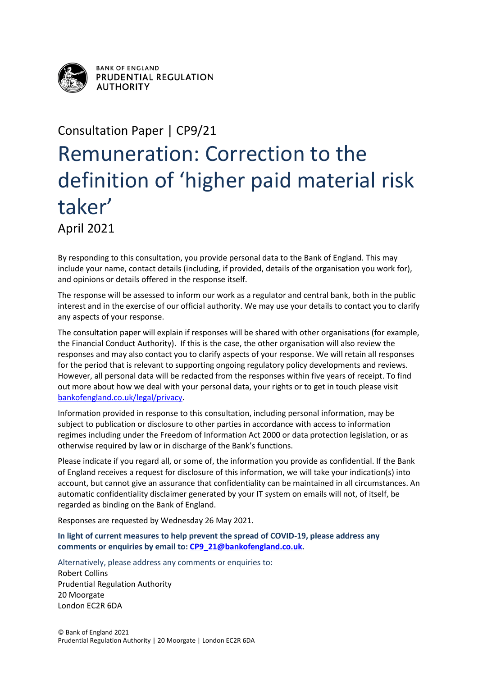

**BANK OF ENGLAND** PRUDENTIAL REGULATION **AUTHORITY** 

# Consultation Paper | CP9/21 Remuneration: Correction to the definition of 'higher paid material risk taker' April 2021

By responding to this consultation, you provide personal data to the Bank of England. This may include your name, contact details (including, if provided, details of the organisation you work for), and opinions or details offered in the response itself.

The response will be assessed to inform our work as a regulator and central bank, both in the public interest and in the exercise of our official authority. We may use your details to contact you to clarify any aspects of your response.

The consultation paper will explain if responses will be shared with other organisations (for example, the Financial Conduct Authority). If this is the case, the other organisation will also review the responses and may also contact you to clarify aspects of your response. We will retain all responses for the period that is relevant to supporting ongoing regulatory policy developments and reviews. However, all personal data will be redacted from the responses within five years of receipt. To find out more about how we deal with your personal data, your rights or to get in touch please visit [bankofengland.co.uk/legal/privacy.](http://www.bankofengland.co.uk/legal/privacy)

Information provided in response to this consultation, including personal information, may be subject to publication or disclosure to other parties in accordance with access to information regimes including under the Freedom of Information Act 2000 or data protection legislation, or as otherwise required by law or in discharge of the Bank's functions.

Please indicate if you regard all, or some of, the information you provide as confidential. If the Bank of England receives a request for disclosure of this information, we will take your indication(s) into account, but cannot give an assurance that confidentiality can be maintained in all circumstances. An automatic confidentiality disclaimer generated by your IT system on emails will not, of itself, be regarded as binding on the Bank of England.

Responses are requested by Wednesday 26 May 2021.

**In light of current measures to help prevent the spread of COVID-19, please address any comments or enquiries by email to: [CP9\\_21@bankofengland.co.uk.](mailto:CP9_21@bankofengland.co.uk)**

Alternatively, please address any comments or enquiries to: Robert Collins Prudential Regulation Authority 20 Moorgate London EC2R 6DA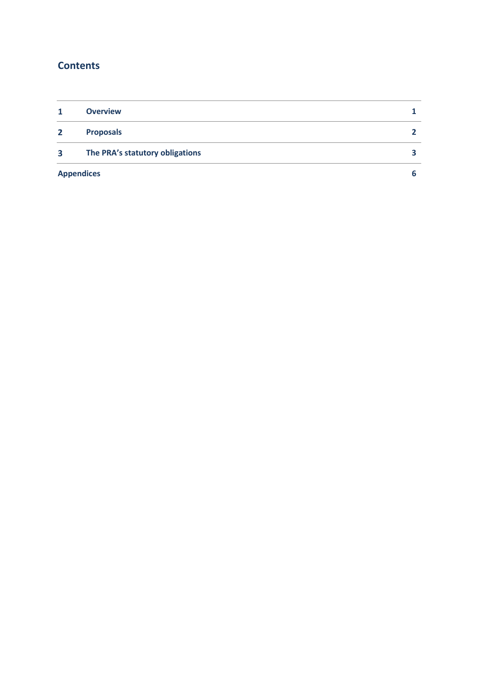### **Contents**

| 1            | <b>Overview</b>                 |  |
|--------------|---------------------------------|--|
| $\mathbf{2}$ | <b>Proposals</b>                |  |
| 3            | The PRA's statutory obligations |  |
|              | <b>Appendices</b>               |  |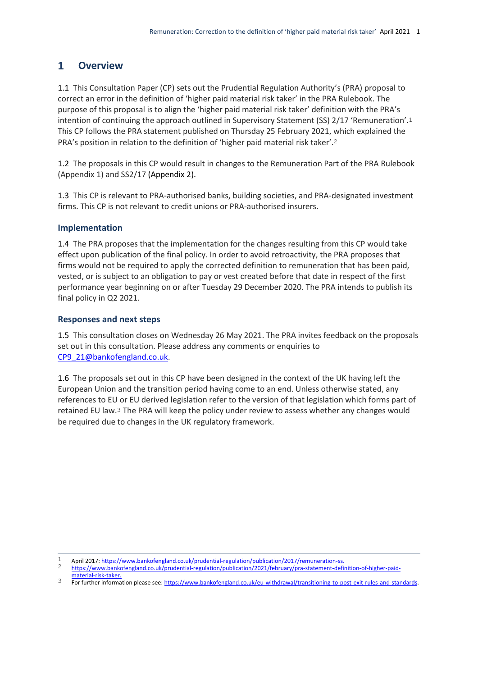#### <span id="page-3-0"></span> $\mathbf{1}$ **Overview**

1.1 This Consultation Paper (CP) sets out the Prudential Regulation Authority's (PRA) proposal to correct an error in the definition of 'higher paid material risk taker' in the PRA Rulebook. The purpose of this proposal is to align the 'higher paid material risk taker' definition with the PRA's intention of continuing the approach outlined in Supervisory Statement (SS) 2/17 'Remuneration'.1 This CP follows the PRA statement published on Thursday 25 February 2021, which explained the PRA's position in relation to the definition of 'higher paid material risk taker'.2

1.2 The proposals in this CP would result in changes to the Remuneration Part of the PRA Rulebook (Appendix 1) and SS2/17 (Appendix 2).

1.3 This CP is relevant to PRA-authorised banks, building societies, and PRA-designated investment firms. This CP is not relevant to credit unions or PRA-authorised insurers.

### **Implementation**

1.4 The PRA proposes that the implementation for the changes resulting from this CP would take effect upon publication of the final policy. In order to avoid retroactivity, the PRA proposes that firms would not be required to apply the corrected definition to remuneration that has been paid, vested, or is subject to an obligation to pay or vest created before that date in respect of the first performance year beginning on or after Tuesday 29 December 2020. The PRA intends to publish its final policy in Q2 2021.

### **Responses and next steps**

1.5 This consultation closes on Wednesday 26 May 2021. The PRA invites feedback on the proposals set out in this consultation. Please address any comments or enquiries to [CP9\\_21@bankofengland.co.uk.](mailto:CP9_21@bankofengland.co.uk)

1.6 The proposals set out in this CP have been designed in the context of the UK having left the European Union and the transition period having come to an end. Unless otherwise stated, any references to EU or EU derived legislation refer to the version of that legislation which forms part of retained EU law.3 The PRA will keep the policy under review to assess whether any changes would be required due to changes in the UK regulatory framework.

<sup>1</sup> 1 April 2017[: https://www.bankofengland.co.uk/prudential-regulation/publication/2017/remuneration-ss.](https://www.bankofengland.co.uk/prudential-regulation/publication/2017/remuneration-ss)

<sup>2</sup> [https://www.bankofengland.co.uk/prudential-regulation/publication/2021/february/pra-statement-definition-of-higher-paid](https://www.bankofengland.co.uk/prudential-regulation/publication/2021/february/pra-statement-definition-of-higher-paid-material-risk-taker)[material-risk-taker.](https://www.bankofengland.co.uk/prudential-regulation/publication/2021/february/pra-statement-definition-of-higher-paid-material-risk-taker)

<sup>3</sup> For further information please see[: https://www.bankofengland.co.uk/eu-withdrawal/transitioning-to-post-exit-rules-and-standards.](https://www.bankofengland.co.uk/eu-withdrawal/transitioning-to-post-exit-rules-and-standards)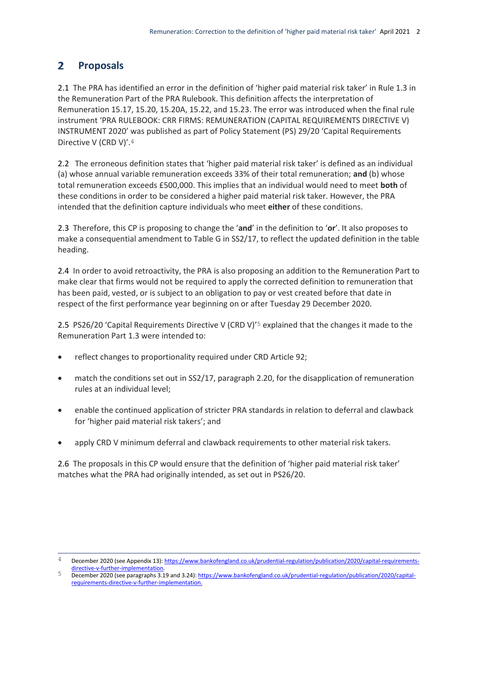#### <span id="page-4-0"></span> $2<sup>1</sup>$ **Proposals**

2.1 The PRA has identified an error in the definition of 'higher paid material risk taker' in Rule 1.3 in the Remuneration Part of the PRA Rulebook. This definition affects the interpretation of Remuneration 15.17, 15.20, 15.20A, 15.22, and 15.23. The error was introduced when the final rule instrument 'PRA RULEBOOK: CRR FIRMS: REMUNERATION (CAPITAL REQUIREMENTS DIRECTIVE V) INSTRUMENT 2020' was published as part of Policy Statement (PS) 29/20 'Capital Requirements Directive V (CRD V)'.4

2.2 The erroneous definition states that 'higher paid material risk taker' is defined as an individual (a) whose annual variable remuneration exceeds 33% of their total remuneration; **and** (b) whose total remuneration exceeds £500,000. This implies that an individual would need to meet **both** of these conditions in order to be considered a higher paid material risk taker. However, the PRA intended that the definition capture individuals who meet **either** of these conditions.

2.3 Therefore, this CP is proposing to change the '**and**' in the definition to '**or**'. It also proposes to make a consequential amendment to Table G in SS2/17, to reflect the updated definition in the table heading.

2.4 In order to avoid retroactivity, the PRA is also proposing an addition to the Remuneration Part to make clear that firms would not be required to apply the corrected definition to remuneration that has been paid, vested, or is subject to an obligation to pay or vest created before that date in respect of the first performance year beginning on or after Tuesday 29 December 2020.

2.5 PS26/20 'Capital Requirements Directive V (CRD V)'5 explained that the changes it made to the Remuneration Part 1.3 were intended to:

- reflect changes to proportionality required under CRD Article 92;
- match the conditions set out in SS2/17, paragraph 2.20, for the disapplication of remuneration rules at an individual level;
- enable the continued application of stricter PRA standards in relation to deferral and clawback for 'higher paid material risk takers'; and
- apply CRD V minimum deferral and clawback requirements to other material risk takers.

2.6 The proposals in this CP would ensure that the definition of 'higher paid material risk taker' matches what the PRA had originally intended, as set out in PS26/20.

 $\overline{4}$ 4 December 2020 (see Appendix 13)[: https://www.bankofengland.co.uk/prudential-regulation/publication/2020/capital-requirements](https://www.bankofengland.co.uk/prudential-regulation/publication/2020/capital-requirements-directive-v-further-implementation)[directive-v-further-implementation.](https://www.bankofengland.co.uk/prudential-regulation/publication/2020/capital-requirements-directive-v-further-implementation) 

<sup>5</sup> December 2020 (see paragraphs 3.19 and 3.24)[: https://www.bankofengland.co.uk/prudential-regulation/publication/2020/capital](https://www.bankofengland.co.uk/prudential-regulation/publication/2020/capital-requirements-directive-v-further-implementation)[requirements-directive-v-further-implementation.](https://www.bankofengland.co.uk/prudential-regulation/publication/2020/capital-requirements-directive-v-further-implementation)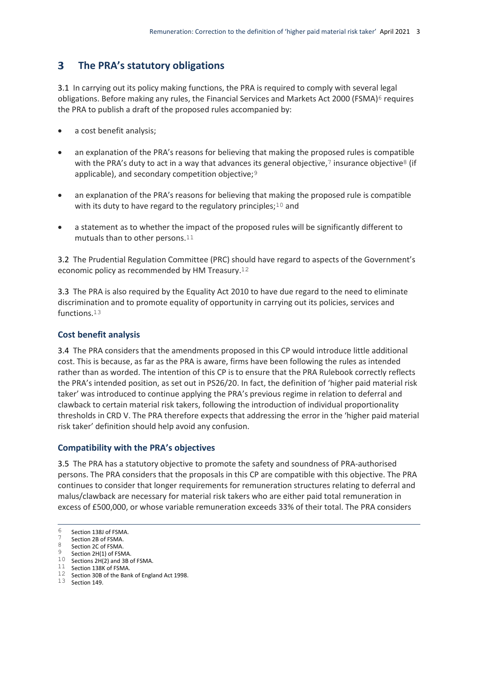#### <span id="page-5-0"></span> $3<sup>1</sup>$ **The PRA's statutory obligations**

3.1 In carrying out its policy making functions, the PRA is required to comply with several legal obligations. Before making any rules, the Financial Services and Markets Act 2000 (FSMA)<sup>6</sup> requires the PRA to publish a draft of the proposed rules accompanied by:

- a cost benefit analysis;
- an explanation of the PRA's reasons for believing that making the proposed rules is compatible with the PRA's duty to act in a way that advances its general objective, $\frac{7}{1}$  insurance objective<sup>8</sup> (if applicable), and secondary competition objective;<sup>9</sup>
- an explanation of the PRA's reasons for believing that making the proposed rule is compatible with its duty to have regard to the regulatory principles; $10$  and
- a statement as to whether the impact of the proposed rules will be significantly different to mutuals than to other persons.11

3.2 The Prudential Regulation Committee (PRC) should have regard to aspects of the Government's economic policy as recommended by HM Treasury.12

3.3 The PRA is also required by the Equality Act 2010 to have due regard to the need to eliminate discrimination and to promote equality of opportunity in carrying out its policies, services and functions.13

### **Cost benefit analysis**

3.4 The PRA considers that the amendments proposed in this CP would introduce little additional cost. This is because, as far as the PRA is aware, firms have been following the rules as intended rather than as worded. The intention of this CP is to ensure that the PRA Rulebook correctly reflects the PRA's intended position, as set out in PS26/20. In fact, the definition of 'higher paid material risk taker' was introduced to continue applying the PRA's previous regime in relation to deferral and clawback to certain material risk takers, following the introduction of individual proportionality thresholds in CRD V. The PRA therefore expects that addressing the error in the 'higher paid material risk taker' definition should help avoid any confusion.

### **Compatibility with the PRA's objectives**

3.5 The PRA has a statutory objective to promote the safety and soundness of PRA-authorised persons. The PRA considers that the proposals in this CP are compatible with this objective. The PRA continues to consider that longer requirements for remuneration structures relating to deferral and malus/clawback are necessary for material risk takers who are either paid total remuneration in excess of £500,000, or whose variable remuneration exceeds 33% of their total. The PRA considers

13 Section 149.

 $6<sup>1</sup>$  $\frac{6}{7}$  Section 138J of FSMA.

 $\frac{7}{8}$  Section 2B of FSMA.

Section 2C of FSMA.

Section 2H(1) of FSMA. 10 Sections 2H(2) and 3B of FSMA.

<sup>11</sup> Section 138K of FSMA.

<sup>12</sup> Section 30B of the Bank of England Act 1998.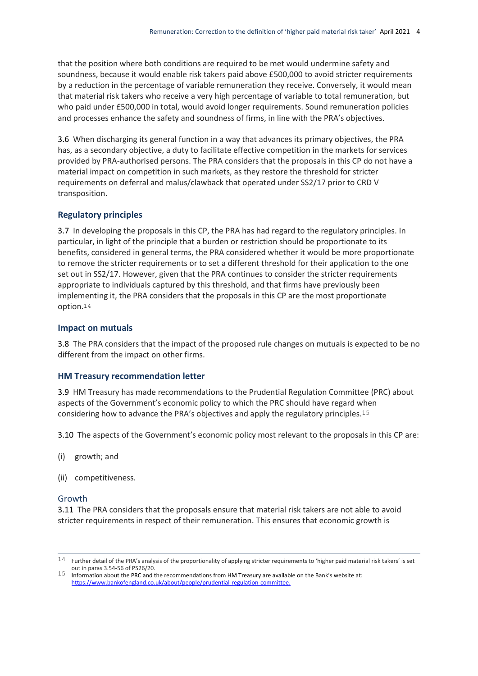that the position where both conditions are required to be met would undermine safety and soundness, because it would enable risk takers paid above £500,000 to avoid stricter requirements by a reduction in the percentage of variable remuneration they receive. Conversely, it would mean that material risk takers who receive a very high percentage of variable to total remuneration, but who paid under £500,000 in total, would avoid longer requirements. Sound remuneration policies and processes enhance the safety and soundness of firms, in line with the PRA's objectives.

3.6 When discharging its general function in a way that advances its primary objectives, the PRA has, as a secondary objective, a duty to facilitate effective competition in the markets for services provided by PRA-authorised persons. The PRA considers that the proposals in this CP do not have a material impact on competition in such markets, as they restore the threshold for stricter requirements on deferral and malus/clawback that operated under SS2/17 prior to CRD V transposition.

### **Regulatory principles**

3.7 In developing the proposals in this CP, the PRA has had regard to the regulatory principles. In particular, in light of the principle that a burden or restriction should be proportionate to its benefits, considered in general terms, the PRA considered whether it would be more proportionate to remove the stricter requirements or to set a different threshold for their application to the one set out in SS2/17. However, given that the PRA continues to consider the stricter requirements appropriate to individuals captured by this threshold, and that firms have previously been implementing it, the PRA considers that the proposals in this CP are the most proportionate option.14

### **Impact on mutuals**

3.8 The PRA considers that the impact of the proposed rule changes on mutuals is expected to be no different from the impact on other firms.

### **HM Treasury recommendation letter**

3.9 HM Treasury has made recommendations to the Prudential Regulation Committee (PRC) about aspects of the Government's economic policy to which the PRC should have regard when considering how to advance the PRA's objectives and apply the regulatory principles.15

3.10 The aspects of the Government's economic policy most relevant to the proposals in this CP are:

- (i) growth; and
- (ii) competitiveness.

### Growth

3.11 The PRA considers that the proposals ensure that material risk takers are not able to avoid stricter requirements in respect of their remuneration. This ensures that economic growth is

<sup>1</sup>  $14$  Further detail of the PRA's analysis of the proportionality of applying stricter requirements to 'higher paid material risk takers' is set out in paras 3.54-56 of PS26/20.

<sup>15</sup> Information about the PRC and the recommendations from HM Treasury are available on the Bank's website at: [https://www.bankofengland.co.uk/about/people/prudential-regulation-committee.](https://www.bankofengland.co.uk/about/people/prudential-regulation-committee)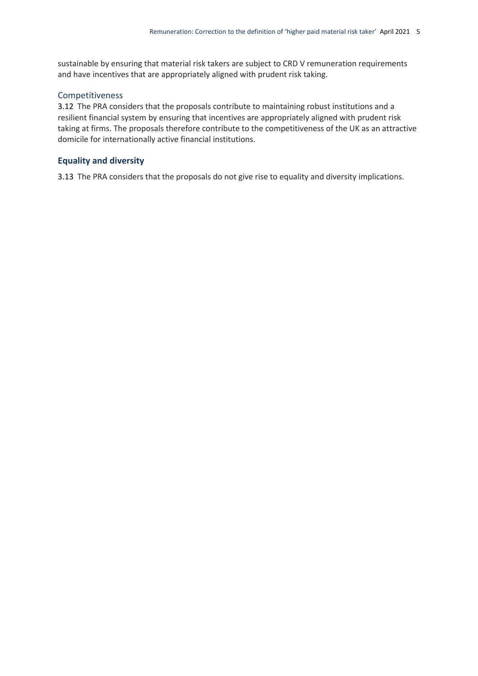sustainable by ensuring that material risk takers are subject to CRD V remuneration requirements and have incentives that are appropriately aligned with prudent risk taking.

### Competitiveness

3.12 The PRA considers that the proposals contribute to maintaining robust institutions and a resilient financial system by ensuring that incentives are appropriately aligned with prudent risk taking at firms. The proposals therefore contribute to the competitiveness of the UK as an attractive domicile for internationally active financial institutions.

### **Equality and diversity**

3.13 The PRA considers that the proposals do not give rise to equality and diversity implications.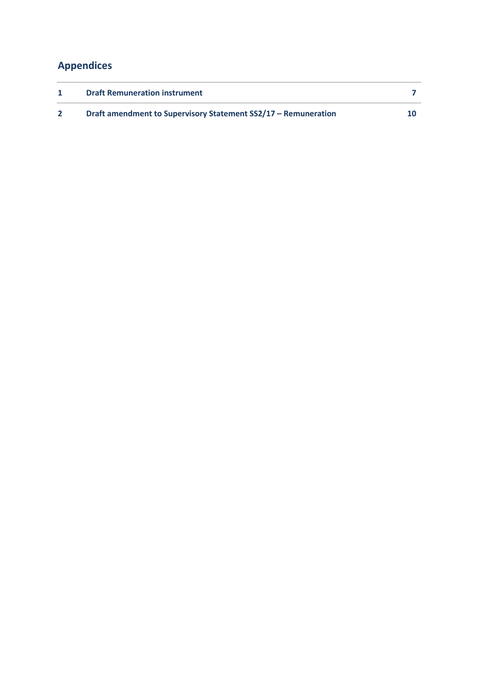### <span id="page-8-0"></span>**Appendices**

| <b>Draft Remuneration instrument</b>                           |  |
|----------------------------------------------------------------|--|
| Draft amendment to Supervisory Statement SS2/17 – Remuneration |  |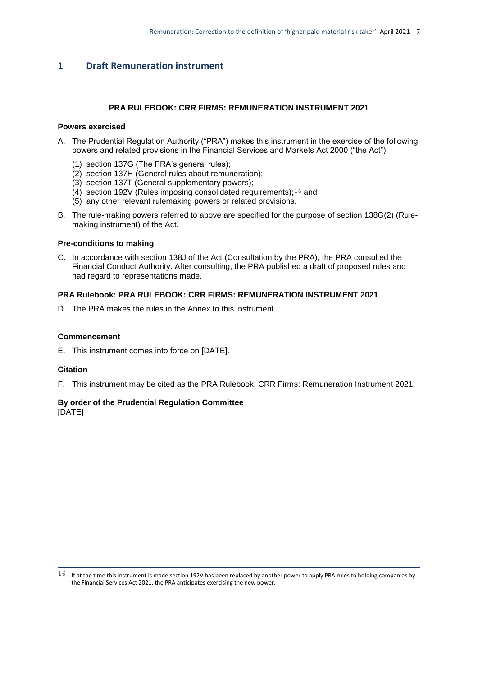### <span id="page-9-0"></span>**1 Draft Remuneration instrument**

### **PRA RULEBOOK: CRR FIRMS: REMUNERATION INSTRUMENT 2021**

### **Powers exercised**

- A. The Prudential Regulation Authority ("PRA") makes this instrument in the exercise of the following powers and related provisions in the Financial Services and Markets Act 2000 ("the Act"):
	- (1) section 137G (The PRA's general rules);
	- (2) section 137H (General rules about remuneration);
	- (3) section 137T (General supplementary powers);
	- (4) section 192V (Rules imposing consolidated requirements); $16$  and
	- (5) any other relevant rulemaking powers or related provisions.
- B. The rule-making powers referred to above are specified for the purpose of section 138G(2) (Rulemaking instrument) of the Act.

### **Pre-conditions to making**

C. In accordance with section 138J of the Act (Consultation by the PRA), the PRA consulted the Financial Conduct Authority. After consulting, the PRA published a draft of proposed rules and had regard to representations made.

### **PRA Rulebook: PRA RULEBOOK: CRR FIRMS: REMUNERATION INSTRUMENT 2021**

D. The PRA makes the rules in the Annex to this instrument.

### **Commencement**

E. This instrument comes into force on [DATE].

### **Citation**

1

F. This instrument may be cited as the PRA Rulebook: CRR Firms: Remuneration Instrument 2021.

### **By order of the Prudential Regulation Committee** [DATE]

 $16$  If at the time this instrument is made section 192V has been replaced by another power to apply PRA rules to holding companies by the Financial Services Act 2021, the PRA anticipates exercising the new power.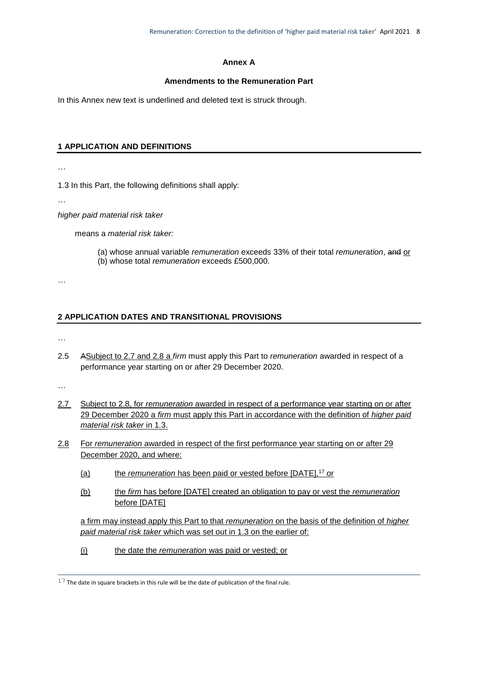### **Annex A**

### **Amendments to the Remuneration Part**

In this Annex new text is underlined and deleted text is struck through.

### **1 APPLICATION AND DEFINITIONS**

…

1.3 In this Part, the following definitions shall apply:

…

*higher paid material risk taker* 

means a *material risk taker:* 

- (a) whose annual variable *remuneration* exceeds 33% of their total *remuneration*, and or
- (b) whose total *remuneration* exceeds £500,000.

…

### **2 APPLICATION DATES AND TRANSITIONAL PROVISIONS**

…

2.5 ASubject to 2.7 and 2.8 a *firm* must apply this Part to *remuneration* awarded in respect of a performance year starting on or after 29 December 2020.

…

- 2.7 Subject to 2.8, for *remuneration* awarded in respect of a performance year starting on or after 29 December 2020 a *firm* must apply this Part in accordance with the definition of *higher paid material risk taker* in 1.3.
- 2.8 For *remuneration* awarded in respect of the first performance year starting on or after 29 December 2020, and where:
	- (a) the *remuneration* has been paid or vested before [DATE],<sup>17</sup> or
	- (b) the *firm* has before [DATE] created an obligation to pay or vest the *remuneration* before [DATE]

a firm may instead apply this Part to that *remuneration* on the basis of the definition of *higher paid material risk taker* which was set out in 1.3 on the earlier of:

(i) the date the *remuneration* was paid or vested; or

<sup>1</sup>  $17$  The date in square brackets in this rule will be the date of publication of the final rule.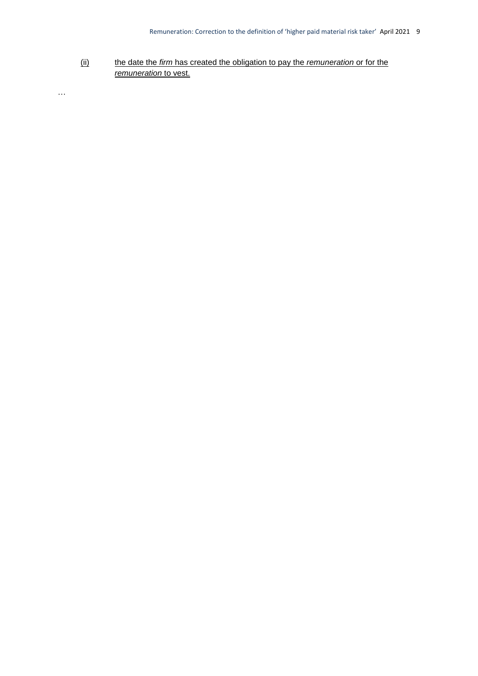(ii) the date the *firm* has created the obligation to pay the *remuneration* or for the *remuneration* to vest.

…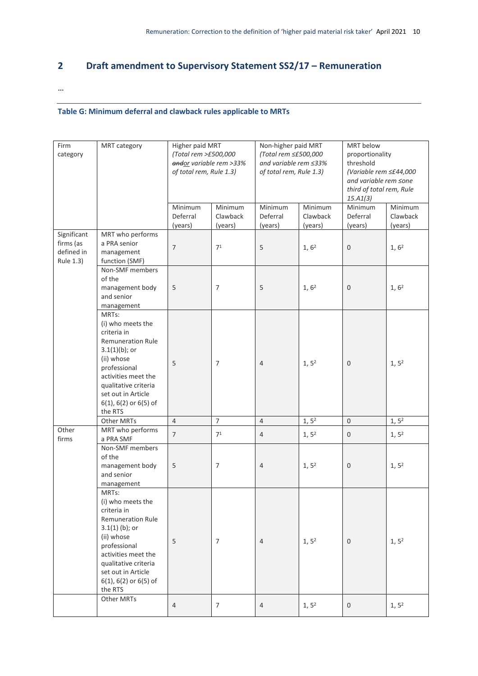### <span id="page-12-0"></span>**2 Draft amendment to Supervisory Statement SS2/17 – Remuneration**

…

### **Table G: Minimum deferral and clawback rules applicable to MRTs**

| Firm<br>category                                    | MRT category                                                                                                                                                                                                                            | Higher paid MRT<br>(Total rem >£500,000<br>andor variable rem >33%<br>of total rem, Rule 1.3) |                                | Non-higher paid MRT<br>(Total rem ≤£500,000<br>and variable rem ≤33%<br>of total rem, Rule 1.3) |                                | MRT below<br>proportionality<br>threshold<br>(Variable rem ≤£44,000<br>and variable rem ≤one<br>third of total rem, Rule<br>15. A1(3) |                                |  |
|-----------------------------------------------------|-----------------------------------------------------------------------------------------------------------------------------------------------------------------------------------------------------------------------------------------|-----------------------------------------------------------------------------------------------|--------------------------------|-------------------------------------------------------------------------------------------------|--------------------------------|---------------------------------------------------------------------------------------------------------------------------------------|--------------------------------|--|
|                                                     |                                                                                                                                                                                                                                         | Minimum<br>Deferral<br>(years)                                                                | Minimum<br>Clawback<br>(years) | Minimum<br>Deferral<br>(years)                                                                  | Minimum<br>Clawback<br>(years) | Minimum<br>Deferral<br>(years)                                                                                                        | Minimum<br>Clawback<br>(years) |  |
| Significant<br>firms (as<br>defined in<br>Rule 1.3) | MRT who performs<br>a PRA senior<br>management<br>function (SMF)                                                                                                                                                                        | $\overline{7}$                                                                                | 7 <sup>1</sup>                 | 5                                                                                               | 1, 6 <sup>2</sup>              | $\mathbf 0$                                                                                                                           | 1, 6 <sup>2</sup>              |  |
|                                                     | Non-SMF members<br>of the<br>management body<br>and senior<br>management                                                                                                                                                                | 5                                                                                             | 7                              | 5                                                                                               | 1, 6 <sup>2</sup>              | $\mathbf{0}$                                                                                                                          | 1, 6 <sup>2</sup>              |  |
|                                                     | MRTs:<br>(i) who meets the<br>criteria in<br><b>Remuneration Rule</b><br>$3.1(1)(b)$ ; or<br>(ii) whose<br>professional<br>activities meet the<br>qualitative criteria<br>set out in Article<br>6(1), 6(2) or 6(5) of<br>the RTS        | 5                                                                                             | $\overline{7}$                 | $\overline{4}$                                                                                  | 1, 5 <sup>2</sup>              | $\mathbf{0}$                                                                                                                          | 1, 5 <sup>2</sup>              |  |
|                                                     | Other MRTs                                                                                                                                                                                                                              | $\overline{4}$                                                                                | $\overline{7}$                 | $\overline{4}$                                                                                  | 1, 5 <sup>2</sup>              | $\mathbf{0}$                                                                                                                          | 1, 5 <sup>2</sup>              |  |
| Other<br>firms                                      | MRT who performs<br>a PRA SMF                                                                                                                                                                                                           | $\overline{7}$                                                                                | 7 <sup>1</sup>                 | $\overline{4}$                                                                                  | 1, 5 <sup>2</sup>              | $\mathsf{O}\xspace$                                                                                                                   | 1, 5 <sup>2</sup>              |  |
|                                                     | Non-SMF members<br>of the<br>management body<br>and senior<br>management                                                                                                                                                                | 5                                                                                             | 7                              | $\overline{4}$                                                                                  | 1, 5 <sup>2</sup>              | $\mathbf{0}$                                                                                                                          | 1, 5 <sup>2</sup>              |  |
|                                                     | MRTs:<br>(i) who meets the<br>criteria in<br><b>Remuneration Rule</b><br>$3.1(1)$ (b); or<br>(ii) whose<br>professional<br>activities meet the<br>qualitative criteria<br>set out in Article<br>$6(1)$ , $6(2)$ or $6(5)$ of<br>the RTS | 5                                                                                             | $\overline{7}$                 | $\overline{4}$                                                                                  | 1, 5 <sup>2</sup>              | $\mathbf{0}$                                                                                                                          | 1, 5 <sup>2</sup>              |  |
|                                                     | Other MRTs                                                                                                                                                                                                                              | 4                                                                                             | $\overline{7}$                 | 4                                                                                               | $1, 5^2$                       | $\mathsf{O}$                                                                                                                          | 1, 5 <sup>2</sup>              |  |